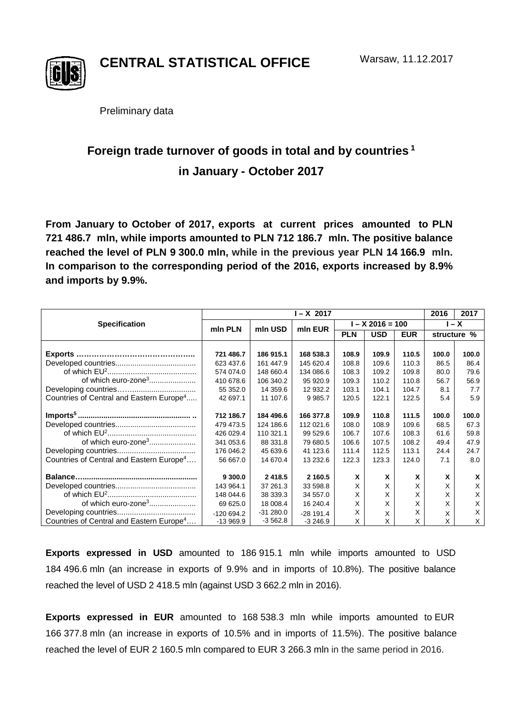

**CENTRAL STATISTICAL OFFICE**

Preliminary data

# **Foreign trade turnover of goods in total and by countries <sup>1</sup> in January - October 2017**

**From January to October of 2017, exports at current prices amounted to PLN 721 486.7 mln, while imports amounted to PLN 712 186.7 mln. The positive balance reached the level of PLN 9 300.0 mln, while in the previous year PLN 14 166.9 mln. In comparison to the corresponding period of the 2016, exports increased by 8.9% and imports by 9.9%.**

|                                                      | $I - X$ 2017 |            |             |                  |            |            | 2016    | 2017        |
|------------------------------------------------------|--------------|------------|-------------|------------------|------------|------------|---------|-------------|
| <b>Specification</b>                                 | mln PLN      | mln USD    | min EUR     | $- X 2016 = 100$ |            |            | $I - X$ |             |
|                                                      |              |            |             | <b>PLN</b>       | <b>USD</b> | <b>EUR</b> |         | structure % |
|                                                      |              |            |             |                  |            |            |         |             |
|                                                      | 721 486.7    | 186 915.1  | 168 538.3   | 108.9            | 109.9      | 110.5      | 100.0   | 100.0       |
|                                                      | 623 437.6    | 161 447.9  | 145 620.4   | 108.8            | 109.6      | 110.3      | 86.5    | 86.4        |
|                                                      | 574 074.0    | 148 660.4  | 134 086.6   | 108.3            | 109.2      | 109.8      | 80.0    | 79.6        |
| of which euro-zone <sup>3</sup>                      | 410 678.6    | 106 340.2  | 95 920.9    | 109.3            | 110.2      | 110.8      | 56.7    | 56.9        |
|                                                      | 55 352.0     | 14 359.6   | 12 932.2    | 103.1            | 104.1      | 104.7      | 8.1     | 7.7         |
| Countries of Central and Eastern Europe <sup>4</sup> | 42 697.1     | 11 107.6   | 9 9 8 5.7   | 120.5            | 122.1      | 122.5      | 5.4     | 5.9         |
|                                                      | 712 186.7    | 184 496.6  | 166 377.8   | 109.9            | 110.8      | 111.5      | 100.0   | 100.0       |
|                                                      | 479 473.5    | 124 186.6  | 112 021.6   | 108.0            | 108.9      | 109.6      | 68.5    | 67.3        |
|                                                      | 426 029.4    | 110 321.1  | 99 529.6    | 106.7            | 107.6      | 108.3      | 61.6    | 59.8        |
| of which euro-zone <sup>3</sup>                      | 341 053.6    | 88 331.8   | 79 680.5    | 106.6            | 107.5      | 108.2      | 49.4    | 47.9        |
|                                                      | 176 046.2    | 45 639.6   | 41 123.6    | 111.4            | 112.5      | 113.1      | 24.4    | 24.7        |
| Countries of Central and Eastern Europe <sup>4</sup> | 56 667.0     | 14 670.4   | 13 232.6    | 122.3            | 123.3      | 124.0      | 7.1     | 8.0         |
|                                                      | 9 300.0      | 2 4 18.5   | 2 160.5     | X                | X          | X          | X       | X           |
|                                                      | 143 964.1    | 37 261.3   | 33 598.8    | X                | X          | X          | X       | X           |
|                                                      | 148 044.6    | 38 339.3   | 34 557.0    | X                | X          | X          | X       | X           |
| of which euro-zone <sup>3</sup>                      | 69 625.0     | 18 008.4   | 16 240.4    | X                | X          | X          | X       | X           |
|                                                      | $-120694.2$  | $-31280.0$ | $-28$ 191.4 | X                | X          | x          | X       | X           |
| Countries of Central and Eastern Europe <sup>4</sup> | $-13969.9$   | $-3562.8$  | $-3246.9$   | X                | X          | X          | Χ       | X           |

**Exports expressed in USD** amounted to 186 915.1 mln while imports amounted to USD 184 496.6 mln (an increase in exports of 9.9% and in imports of 10.8%). The positive balance reached the level of USD 2 418.5 mln (against USD 3 662.2 mln in 2016).

**Exports expressed in EUR** amounted to 168 538.3 mln while imports amounted to EUR 166 377.8 mln (an increase in exports of 10.5% and in imports of 11.5%). The positive balance reached the level of EUR 2 160.5 mln compared to EUR 3 266.3 mln in the same period in 2016.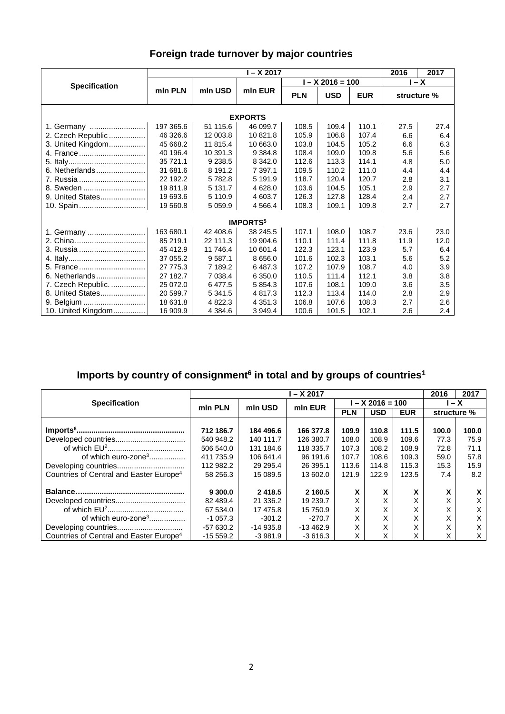### **Foreign trade turnover by major countries**

|                             | I – X 2017 |             |             |            |                    |            |             | 2017 |  |  |
|-----------------------------|------------|-------------|-------------|------------|--------------------|------------|-------------|------|--|--|
|                             |            |             |             |            | $I - X$ 2016 = 100 | $I - X$    |             |      |  |  |
| <b>Specification</b>        | mln PLN    | mln USD     | min EUR     | <b>PLN</b> | <b>USD</b>         | <b>EUR</b> | structure % |      |  |  |
| <b>EXPORTS</b>              |            |             |             |            |                    |            |             |      |  |  |
| 1. Germany                  | 197 365.6  | 51 115.6    | 46 099.7    | 108.5      | 109.4              | 110.1      | 27.5        | 27.4 |  |  |
| 2. Czech Republic           | 46 326.6   | 12 003.8    | 10 821.8    | 105.9      | 106.8              | 107.4      | 6.6         | 6.4  |  |  |
| 3. United Kingdom           | 45 668.2   | 11 815.4    | 10 663.0    | 103.8      | 104.5              | 105.2      | 6.6         | 6.3  |  |  |
| 4. France                   | 40 196.4   | 10 391.3    | 9 3 8 4.8   | 108.4      | 109.0              | 109.8      | 5.6         | 5.6  |  |  |
|                             | 35 721.1   | 9 2 38.5    | 8 3 4 2.0   | 112.6      | 113.3              | 114.1      | 4.8         | 5.0  |  |  |
| 6. Netherlands              | 31 681.6   | 8 191.2     | 7 397.1     | 109.5      | 110.2              | 111.0      | 4.4         | 4.4  |  |  |
| 7. Russia                   | 22 192.2   | 5 782.8     | 5 191.9     | 118.7      | 120.4              | 120.7      | 2.8         | 3.1  |  |  |
| 8. Sweden                   | 19811.9    | 5 131.7     | 4 628.0     | 103.6      | 104.5              | 105.1      | 2.9         | 2.7  |  |  |
| 9. United States            | 19 693.6   | 5 110.9     | 4 603.7     | 126.3      | 127.8              | 128.4      | 2.4         | 2.7  |  |  |
|                             | 19 560.8   | 5 0 5 9.9   | 4 5 6 6.4   | 108.3      | 109.1              | 109.8      | 2.7         | 2.7  |  |  |
| <b>IMPORTS</b> <sup>5</sup> |            |             |             |            |                    |            |             |      |  |  |
| 1. Germany                  | 163 680.1  | 42 408.6    | 38 245.5    | 107.1      | 108.0              | 108.7      | 23.6        | 23.0 |  |  |
|                             | 85 219.1   | 22 111.3    | 19 904.6    | 110.1      | 111.4              | 111.8      | 11.9        | 12.0 |  |  |
| 3. Russia                   | 45 412.9   | 11 746.4    | 10 601.4    | 122.3      | 123.1              | 123.9      | 5.7         | 6.4  |  |  |
|                             | 37 055.2   | 9 5 8 7 . 1 | 8 6 5 6.0   | 101.6      | 102.3              | 103.1      | 5.6         | 5.2  |  |  |
| 5. France                   | 27 775.3   | 7 189.2     | 6487.3      | 107.2      | 107.9              | 108.7      | 4.0         | 3.9  |  |  |
| 6. Netherlands              | 27 182.7   | 7 0 38.4    | 6 3 5 0.0   | 110.5      | 111.4              | 112.1      | 3.8         | 3.8  |  |  |
| 7. Czech Republic.          | 25 072.0   | 6 477.5     | 5 8 5 4 . 3 | 107.6      | 108.1              | 109.0      | 3.6         | 3.5  |  |  |
| 8. United States            | 20 599.7   | 5 3 4 1 . 5 | 4 8 1 7 . 3 | 112.3      | 113.4              | 114.0      | 2.8         | 2.9  |  |  |
| 9. Belgium                  | 18 631.8   | 4 822.3     | 4 3 5 1 . 3 | 106.8      | 107.6              | 108.3      | 2.7         | 2.6  |  |  |
| 10. United Kingdom          | 16 909.9   | 4 3 8 4 . 6 | 3 949.4     | 100.6      | 101.5              | 102.1      | 2.6         | 2.4  |  |  |

## **Imports by country of consignment6 in total and by groups of countries1**

|                                                     | l – X 2017 |            |            |                  |            |            |             | 2017  |
|-----------------------------------------------------|------------|------------|------------|------------------|------------|------------|-------------|-------|
| <b>Specification</b>                                | min PLN    | mln USD    | mln EUR    | $- X 2016 = 100$ |            |            | l – X       |       |
|                                                     |            |            |            | <b>PLN</b>       | <b>USD</b> | <b>EUR</b> | structure % |       |
|                                                     |            |            |            |                  |            |            |             |       |
|                                                     | 712 186.7  | 184 496.6  | 166 377.8  | 109.9            | 110.8      | 111.5      | 100.0       | 100.0 |
|                                                     | 540 948.2  | 140 111.7  | 126 380.7  | 108.0            | 108.9      | 109.6      | 77.3        | 75.9  |
|                                                     | 506 540.0  | 131 184.6  | 118 335.7  | 107.3            | 108.2      | 108.9      | 72.8        | 71.1  |
| of which euro-zone <sup>3</sup>                     | 411 735.9  | 106 641.4  | 96 191.6   | 107.7            | 108.6      | 109.3      | 59.0        | 57.8  |
|                                                     | 112 982.2  | 29 29 5.4  | 26 395.1   | 113.6            | 114.8      | 115.3      | 15.3        | 15.9  |
| Countries of Central and Easter Europe <sup>4</sup> | 58 256.3   | 15 089.5   | 13 602.0   | 121.9            | 122.9      | 123.5      | 7.4         | 8.2   |
|                                                     |            |            |            |                  |            |            |             |       |
|                                                     | 9 300.0    | 2418.5     | 2 160.5    | x                | X          | X          | X           | X     |
|                                                     | 82 489.4   | 21 336.2   | 19 239.7   | X                | X          | X          | X           | X     |
|                                                     | 67 534.0   | 17 475.8   | 15 750.9   | X                | X          | X          | X           | Х     |
| of which euro-zone <sup>3</sup>                     | $-1057.3$  | $-301.2$   | $-270.7$   | X                | X          | X          | X           | X     |
|                                                     | -57 630.2  | $-14935.8$ | $-13462.9$ | X                | X          | X          | X           | X     |
| Countries of Central and Easter Europe <sup>4</sup> | $-15559.2$ | $-3.981.9$ | $-3616.3$  | X                | X          | X          | X           | X     |